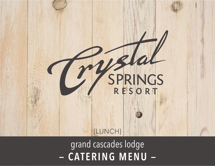

- CATERING MENU grand cascades lodge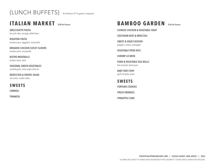# {LUNCH BUFFETS} A minimum of 15 guests is required.

### **ITALIAN MARKET \$38 Per Person**

**ORECCHIETTE PASTA** broccoli rabe, sausage, white bean

**RIGATONI PASTA** tomato sauce, eggplant, mozzarella

**BREADED CHICKEN CUTLET SLIDERS** tomato sauce, mozzarella

**BISTRO MEATBALLS** tomato sauce, basil

**SEASONAL GREEN VEGETABLES** roasted garlic, extra virgin olive oil

**RADICCHIO & ENDIVE SALAD** red onion, ricotta salata

**SWEETS**

**CANNOLI** 

**TIRAMISU**

#### **BAMBOO GARDEN \$34 Per Person**

**CHINESE CHICKEN & VEGETABLE SOUP**

**SZECHUAN BEEF & BROCCOLI**

**SWEET & SOUR CHICKEN**  peppers, onions, pineapple

**VEGETABLE FRIED RICE**

**SHRIMP LO MEIN**

**PORK & VEGETABLE EGG ROLLS**  hot mustard, duck sauce

**BABY BOK CHOY**  garlic & oyster sauce

**SWEETS FORTUNE COOKIES FRESH ORANGES PINEAPPLE CAKE**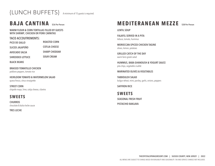{LUNCH BUFFETS} A minimum of 15 guests is required.

### **BAJA CANTINA** \$36 Per Person

**WARM FLOUR & CORN TORTILLAS FILLED BY GUESTS WITH SHRIMP, CHICKEN OR PORK CARNITAS** 

**TACO ACCOUTREMENTS:**

**PICO DE GALLO SLICED JALAPEÑO AVOCADO SALSA ROASTED CORN COTIJA CHEESE SHARP CHEDDAR**

**SHREDDED LETTUCE SOUR CREAM**

**BLACK BEANS**

**BRAISED TOMATILLO CHICKEN** poblano peppers, tomato rice

**HEIRLOOM TOMATO & WATERMELON SALAD** queso fresco, citrus vinaigrette

**STREET CORN** chipotle mayo, lime, cotija cheese, cilantro

#### **SWEETS**

**CHURROS** chocolate & dulce leche sauce

**TRES LECHE**

### **MEDITERANEAN MEZZE** \$38 Per Person

**LENTIL SOUP**

**FALAFEL SERVED IN A PITA** lettuce, tomato, hummus

**MOROCCAN-SPICED CHICKEN TAGINE**  olives, lemon, potatoes

**GRILLED CATCH OF THE DAY** warm farro greek salad

**HUMMUS, BABA GHANOUSH & YOGURT SAUCE** pita chips, vegetable crudité

**MARINATED OLIVES & VEGETABLES**

**TABBOULEH SALAD** bulgur wheat, mint, parsley, garlic, onions, peppers

**SAFFRON RICE**

**SWEETS SEASONAL FRESH FRUIT PISTACHIO BAKLAVA**

> **THECRYSTALSPRINGSRESORT.COM | SUSSEX COUNTY, NEW JERSEY | 2022** ALL MENUS ARE SUBJECT TO CHANGE BASED ON AVAILABLITY AND SEASONALITY. TAX AND SERVICE CHARGES NOT INCLUDED.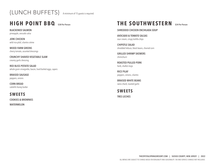# {LUNCH BUFFETS} A minimum of 15 guests is required.

#### **HIGH POINT BBQ**

**BLACKENED SALMON**  pineapple, avocado salsa

**JERK CHICKEN** wild rice pilaf, cilantro crème

**MIXED FARM GREENS** cherry tomato, assorted dressings

**CRUNCHY SHAVED VEGETABLE SLAW** creamy garlic dressing

**RED BLISS POTATO SALAD** whole grain vinaigrette, bacon, hard boiled eggs, capers

**BRAISED SAUSAGE** peppers, onions

**CORN BREAD** catskills honey butter

**SWEETS COOKIES & BROWNIES**

**WATERMELON**

### **THE SOUTHWESTERN** \$34 Per Person

**SHREDDED CHICKEN ENCHILADA SOUP**

**AVOCADO & TOMATO SALSAS** sour cream, crispy tortilla chips

**CHIPOTLE SALAD** shredded lettuce, black beans, charred corn

**GRILLED SHRIMP SKEWERS** chimichurri

**ROASTED PULLED PORK** herb, shallot mojo

**RICE PILAF**  peppers, onions, cilantro

**BRAISED WHITE BEANS**  swiss chard, roasted garlic

**SWEETS TRES LECHES**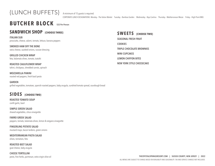

CORPORATE LUNCH DESIGNATIONS: Monday – The Italian Market Tuesday – Bamboo Garden Wednesday – Baja Cantina Thursday – Mediterranean Mezze Friday – High Point BBQ

#### **BUTCHER BLOCK \$32 Per Person**

#### **SANDWICH SHOP {CHOOSE THREE}**

**ITALIAN SUB** prosciutto, cheese, salami, tomato, lettuce, banana peppers

**SMOKED HAM OFF THE BONE** swiss cheese, sautéed onions, russian dressing

**GRILLED CHICKEN WRAP** feta, kalamata olives, tomato, tzatziki

**ROASTED CAULIFLOWER WRAP** tahini, chickpeas, shredded carrots, spinach

**MOZZARELLA PANINI**  roasted red peppers, fresh basil pesto

**GARDEN**  grilled vegetables, tomatoes, spanish roasted peppers, baby arugula, sundried tomato spread, sourdough bread

#### **SIDES {CHOOSE TWO}**

**ROASTED TOMATO SOUP** confit garlic, basil

**SIMPLE GREEN SALAD** shaved vegetables, citrus vinaigrette

**FARRO GREEK SALAD** peppers, tomato, kalamata olives, lemon & oregano vinaigrette

**FINGERLING POTATO SALAD** mustard mayo, bacon lardons, green onions

**MEDITERRANEAN PASTA SALAD**  olives, tomatoes, feta

**ROASTED BEET SALAD** goat cheese, baby arugula

**CHEESE TORTELLINI** pesto, fine herbs, parmesan, extra virgin olive oil **SWEETS** {CHOOSE TWO} **SEASONAL FRESH FRUIT COOKIES TRIPLE CHOCOLATE BROWNIES MINI CUPCAKES LEMON CHIFFON BITES NEW YORK STYLE CHEESECAKE**